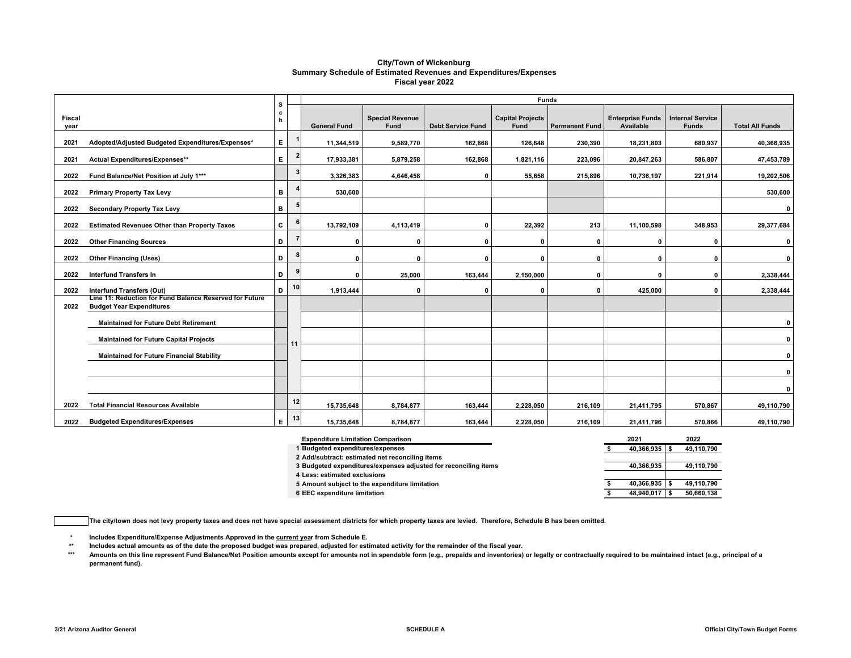#### **City/Town of Wickenburg Summary Schedule of Estimated Revenues and Expenditures/Expenses Fiscal year 2022**

|                |                                                                                            | s      |              | <b>Funds</b>        |                                |                          |                                        |                       |                                      |                                         |                        |  |
|----------------|--------------------------------------------------------------------------------------------|--------|--------------|---------------------|--------------------------------|--------------------------|----------------------------------------|-----------------------|--------------------------------------|-----------------------------------------|------------------------|--|
| Fiscal<br>year |                                                                                            | c<br>h |              | <b>General Fund</b> | <b>Special Revenue</b><br>Fund | <b>Debt Service Fund</b> | <b>Capital Projects</b><br><b>Fund</b> | <b>Permanent Fund</b> | <b>Enterprise Funds</b><br>Available | <b>Internal Service</b><br><b>Funds</b> | <b>Total All Funds</b> |  |
| 2021           | Adopted/Adjusted Budgeted Expenditures/Expenses*                                           | Е.     |              | 11,344,519          | 9,589,770                      | 162,868                  | 126,648                                | 230,390               | 18,231,803                           | 680,937                                 | 40,366,935             |  |
| 2021           | Actual Expenditures/Expenses**                                                             | E.     | $\mathbf{2}$ | 17,933,381          | 5,879,258                      | 162,868                  | 1,821,116                              | 223.096               | 20,847,263                           | 586.807                                 | 47,453,789             |  |
| 2022           | Fund Balance/Net Position at July 1***                                                     |        | $\mathbf{3}$ | 3,326,383           | 4,646,458                      | 0                        | 55,658                                 | 215,896               | 10,736,197                           | 221,914                                 | 19,202,506             |  |
| 2022           | <b>Primary Property Tax Levy</b>                                                           | в      |              | 530,600             |                                |                          |                                        |                       |                                      |                                         | 530,600                |  |
| 2022           | <b>Secondary Property Tax Levy</b>                                                         | в      |              |                     |                                |                          |                                        |                       |                                      |                                         | 0                      |  |
| 2022           | <b>Estimated Revenues Other than Property Taxes</b>                                        | C      | 6            | 13,792,109          | 4,113,419                      | $\Omega$                 | 22,392                                 | 213                   | 11,100,598                           | 348,953                                 | 29,377,684             |  |
| 2022           | <b>Other Financing Sources</b>                                                             | D      |              | $\mathbf{0}$        |                                | O                        | $\Omega$                               | $\Omega$              | n                                    | O                                       | 0                      |  |
| 2022           | <b>Other Financing (Uses)</b>                                                              | D      | 8            | $\mathbf 0$         | n                              | O                        | $\Omega$                               | $\Omega$              | $\Omega$                             | $\mathbf{0}$                            | 0                      |  |
| 2022           | <b>Interfund Transfers In</b>                                                              | D      | 9            | $\mathbf 0$         | 25,000                         | 163,444                  | 2,150,000                              | $\Omega$              | O                                    | $\Omega$                                | 2,338,444              |  |
| 2022           | <b>Interfund Transfers (Out)</b>                                                           | D      | 10           | 1,913,444           |                                | O                        | $\mathbf{0}$                           | $\Omega$              | 425,000                              | 0                                       | 2,338,444              |  |
| 2022           | Line 11: Reduction for Fund Balance Reserved for Future<br><b>Budget Year Expenditures</b> |        |              |                     |                                |                          |                                        |                       |                                      |                                         |                        |  |
|                | <b>Maintained for Future Debt Retirement</b>                                               |        |              |                     |                                |                          |                                        |                       |                                      |                                         | 0                      |  |
|                | <b>Maintained for Future Capital Projects</b>                                              |        | 11           |                     |                                |                          |                                        |                       |                                      |                                         | 0                      |  |
|                | <b>Maintained for Future Financial Stability</b>                                           |        |              |                     |                                |                          |                                        |                       |                                      |                                         | 0                      |  |
|                |                                                                                            |        |              |                     |                                |                          |                                        |                       |                                      |                                         | $\mathbf{0}$           |  |
|                |                                                                                            |        |              |                     |                                |                          |                                        |                       |                                      |                                         | 0                      |  |
| 2022           | <b>Total Financial Resources Available</b>                                                 |        | 12           | 15,735,648          | 8,784,877                      | 163,444                  | 2,228,050                              | 216,109               | 21,411,795                           | 570,867                                 | 49,110,790             |  |
| 2022           | <b>Budgeted Expenditures/Expenses</b>                                                      | E.     | 13           | 15,735,648          | 8,784,877                      | 163,444                  | 2,228,050                              | 216,109               | 21,411,796                           | 570,866                                 | 49,110,790             |  |

| <b>Expenditure Limitation Comparison</b>                        | 2021       | 2022       |
|-----------------------------------------------------------------|------------|------------|
| <b>Budgeted expenditures/expenses</b>                           | 40.366.935 | 49,110,790 |
| 2 Add/subtract: estimated net reconciling items                 |            |            |
| 3 Budgeted expenditures/expenses adjusted for reconciling items | 40.366.935 | 49,110,790 |
| 4 Less: estimated exclusions                                    |            |            |
| 5 Amount subject to the expenditure limitation                  | 40.366.935 | 49.110.790 |
| 6 EEC expenditure limitation                                    | 48.940.017 | 50,660,138 |

**The city/town does not levy property taxes and does not have special assessment districts for which property taxes are levied. Therefore, Schedule B has been omitted.**

**\*Includes Expenditure/Expense Adjustments Approved in the current year from Schedule E.** 

**\*\*Includes actual amounts as of the date the proposed budget was prepared, adjusted for estimated activity for the remainder of the fiscal year.**

 **\*\*\***Amounts on this line represent Fund Balance/Net Position amounts except for amounts not in spendable form (e.g., prepaids and inventories) or legally or contractually required to be maintained intact (e.g., principal of a **permanent fund).**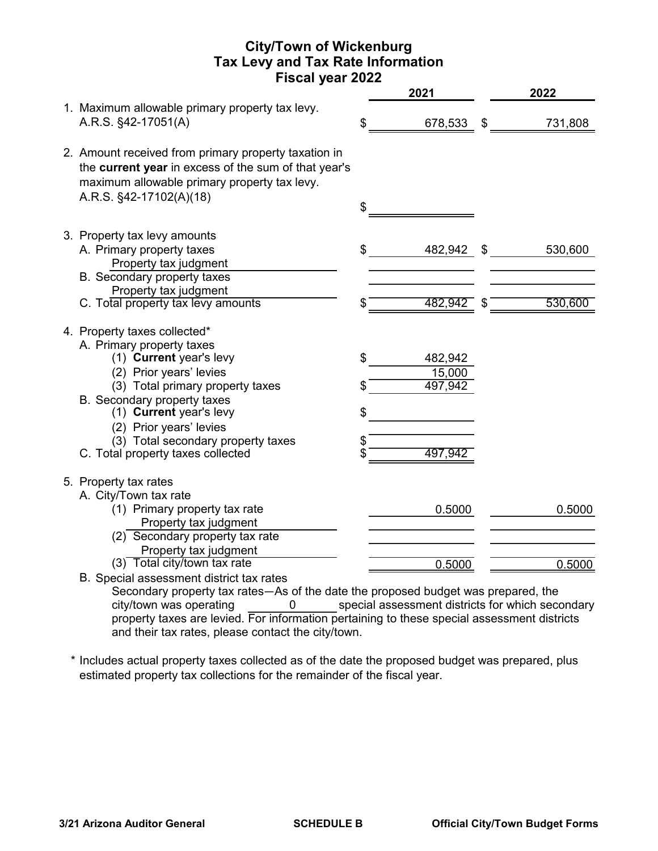# **City/Town of Wickenburg Tax Levy and Tax Rate Information Fiscal year 2022**

|                                                                                                                                                                                         | 2021             | 2022          |
|-----------------------------------------------------------------------------------------------------------------------------------------------------------------------------------------|------------------|---------------|
| 1. Maximum allowable primary property tax levy.<br>A.R.S. §42-17051(A)                                                                                                                  | \$<br>678,533 \$ | 731,808       |
| 2. Amount received from primary property taxation in<br>the current year in excess of the sum of that year's<br>maximum allowable primary property tax levy.<br>A.R.S. §42-17102(A)(18) | \$               |               |
|                                                                                                                                                                                         |                  |               |
| 3. Property tax levy amounts<br>A. Primary property taxes<br>Property tax judgment                                                                                                      | \$<br>482,942    | \$<br>530,600 |
| <b>B.</b> Secondary property taxes                                                                                                                                                      |                  |               |
| Property tax judgment                                                                                                                                                                   |                  |               |
| C. Total property tax levy amounts                                                                                                                                                      | \$<br>482,942    | 530,600       |
| 4. Property taxes collected*<br>A. Primary property taxes                                                                                                                               |                  |               |
| (1) Current year's levy                                                                                                                                                                 | \$<br>482,942    |               |
| (2) Prior years' levies                                                                                                                                                                 | 15,000           |               |
| (3) Total primary property taxes                                                                                                                                                        | \$<br>497,942    |               |
| B. Secondary property taxes<br>(1) Current year's levy                                                                                                                                  | \$               |               |
| (2) Prior years' levies                                                                                                                                                                 |                  |               |
| (3) Total secondary property taxes                                                                                                                                                      | \$               |               |
| C. Total property taxes collected                                                                                                                                                       | \$<br>497,942    |               |
| 5. Property tax rates                                                                                                                                                                   |                  |               |
| A. City/Town tax rate                                                                                                                                                                   |                  |               |
| (1) Primary property tax rate                                                                                                                                                           | 0.5000           | 0.5000        |
| Property tax judgment                                                                                                                                                                   |                  |               |
| $(2)$ Secondary property tax rate                                                                                                                                                       |                  |               |
| Property tax judgment                                                                                                                                                                   |                  |               |
| (3) Total city/town tax rate                                                                                                                                                            | 0.5000           | 0.5000        |
| B. Special assessment district tax rates                                                                                                                                                |                  |               |

Secondary property tax rates—As of the date the proposed budget was prepared, the 0 special assessment districts for which secondary property taxes are levied. For information pertaining to these special assessment districts and their tax rates, please contact the city/town. city/town was operating

\* Includes actual property taxes collected as of the date the proposed budget was prepared, plus estimated property tax collections for the remainder of the fiscal year.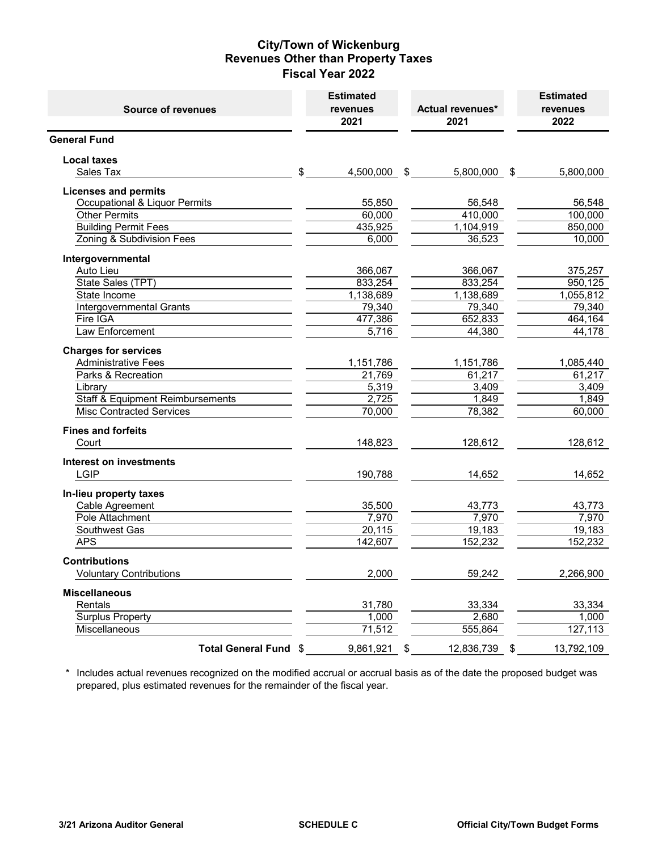### **City/Town of Wickenburg Revenues Other than Property Taxes Fiscal Year 2022**

| <b>Source of revenues</b>                   | <b>Estimated</b><br>revenues<br>2021 | Actual revenues*<br>2021 |      | <b>Estimated</b><br>revenues<br>2022 |
|---------------------------------------------|--------------------------------------|--------------------------|------|--------------------------------------|
| <b>General Fund</b>                         |                                      |                          |      |                                      |
| <b>Local taxes</b>                          |                                      |                          |      |                                      |
| Sales Tax                                   | \$<br>4,500,000 \$                   | 5,800,000 \$             |      | 5,800,000                            |
| <b>Licenses and permits</b>                 |                                      |                          |      |                                      |
| Occupational & Liquor Permits               | 55,850                               | 56,548                   |      | 56,548                               |
| <b>Other Permits</b>                        | 60,000                               | 410,000                  |      | 100,000                              |
| <b>Building Permit Fees</b>                 | 435,925                              | 1,104,919                |      | 850,000                              |
| Zoning & Subdivision Fees                   | 6,000                                | 36,523                   |      | 10,000                               |
| Intergovernmental                           |                                      |                          |      |                                      |
| Auto Lieu                                   | 366,067                              | 366,067                  |      | 375,257                              |
| State Sales (TPT)                           | 833,254                              | 833,254                  |      | 950,125                              |
| State Income                                | 1,138,689                            | 1,138,689                |      | 1,055,812                            |
| Intergovernmental Grants                    | 79,340                               | 79,340                   |      | 79,340                               |
| Fire IGA                                    | 477,386                              | 652,833                  |      | 464,164                              |
| Law Enforcement                             | 5,716                                | 44,380                   |      | 44,178                               |
| <b>Charges for services</b>                 |                                      |                          |      |                                      |
| <b>Administrative Fees</b>                  | 1,151,786                            | 1,151,786                |      | 1,085,440                            |
| Parks & Recreation                          | 21,769                               | 61,217                   |      | 61,217                               |
| Library                                     | 5,319                                | 3,409                    |      | 3,409                                |
| <b>Staff &amp; Equipment Reimbursements</b> | 2,725                                | 1.849                    |      | 1,849                                |
| <b>Misc Contracted Services</b>             | 70,000                               | 78,382                   |      | 60,000                               |
| <b>Fines and forfeits</b>                   |                                      |                          |      |                                      |
| Court                                       | 148,823                              | 128,612                  |      | 128,612                              |
| <b>Interest on investments</b>              |                                      |                          |      |                                      |
| <b>LGIP</b>                                 | 190,788                              | 14,652                   |      | 14,652                               |
| In-lieu property taxes                      |                                      |                          |      |                                      |
| Cable Agreement                             | 35,500                               | 43,773                   |      | 43,773                               |
| Pole Attachment                             | 7,970                                | 7,970                    |      | 7,970                                |
| Southwest Gas                               | 20,115                               | 19,183                   |      | 19,183                               |
| <b>APS</b>                                  | 142,607                              | 152,232                  |      | 152,232                              |
| <b>Contributions</b>                        |                                      |                          |      |                                      |
| <b>Voluntary Contributions</b>              | 2,000                                | 59,242                   |      | 2,266,900                            |
| <b>Miscellaneous</b>                        |                                      |                          |      |                                      |
| Rentals                                     | 31,780                               | 33,334                   |      | 33,334                               |
| <b>Surplus Property</b>                     | 1,000                                | 2,680                    |      | 1,000                                |
| Miscellaneous                               | 71,512                               | 555,864                  |      | $\overline{127}, 113$                |
| Total General Fund \$                       | 9,861,921                            | \$<br>12,836,739         | - \$ | 13,792,109                           |

 \* Includes actual revenues recognized on the modified accrual or accrual basis as of the date the proposed budget was prepared, plus estimated revenues for the remainder of the fiscal year.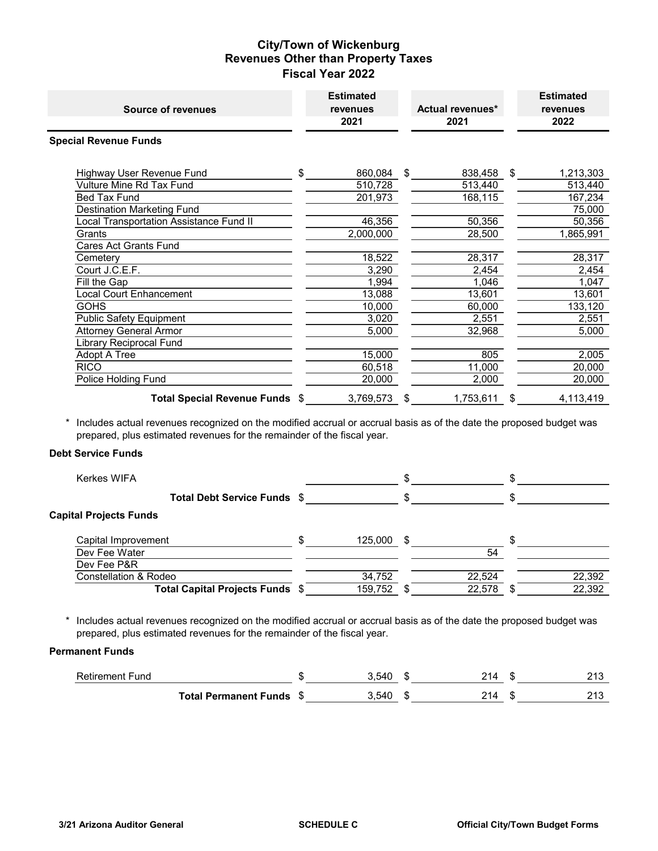# **City/Town of Wickenburg Revenues Other than Property Taxes Fiscal Year 2022**

| <b>Source of revenues</b>               | <b>Estimated</b><br>revenues<br>2021 | <b>Actual revenues*</b><br>2021 | <b>Estimated</b><br>revenues<br>2022 |
|-----------------------------------------|--------------------------------------|---------------------------------|--------------------------------------|
| <b>Special Revenue Funds</b>            |                                      |                                 |                                      |
| Highway User Revenue Fund               | \$<br>860,084                        | \$<br>838,458                   | \$<br>1,213,303                      |
| Vulture Mine Rd Tax Fund                | 510,728                              | 513,440                         | 513,440                              |
| Bed Tax Fund                            | 201,973                              | 168,115                         | 167,234                              |
| <b>Destination Marketing Fund</b>       |                                      |                                 | 75,000                               |
| Local Transportation Assistance Fund II | 46,356                               | 50,356                          | 50,356                               |
| Grants                                  | 2,000,000                            | 28,500                          | 1,865,991                            |
| <b>Cares Act Grants Fund</b>            |                                      |                                 |                                      |
| Cemetery                                | 18,522                               | 28,317                          | 28,317                               |
| Court J.C.E.F.                          | 3,290                                | 2,454                           | 2,454                                |
| Fill the Gap                            | 1,994                                | 1,046                           | 1,047                                |
| Local Court Enhancement                 | 13,088                               | 13,601                          | 13,601                               |
| <b>GOHS</b>                             | 10,000                               | 60,000                          | 133,120                              |
| <b>Public Safety Equipment</b>          | 3,020                                | 2,551                           | 2,551                                |
| <b>Attorney General Armor</b>           | 5,000                                | 32,968                          | 5,000                                |
| Library Reciprocal Fund                 |                                      |                                 |                                      |
| Adopt A Tree                            | 15,000                               | 805                             | 2,005                                |
| <b>RICO</b>                             | 60,518                               | 11,000                          | 20,000                               |
| Police Holding Fund                     | 20,000                               | 2,000                           | 20,000                               |
| Total Special Revenue Funds \$          | 3,769,573                            | \$<br>1,753,611                 | \$<br>4,113,419                      |

 \* Includes actual revenues recognized on the modified accrual or accrual basis as of the date the proposed budget was prepared, plus estimated revenues for the remainder of the fiscal year.

#### **Debt Service Funds**

| Kerkes WIFA                      |         |      |        |        |
|----------------------------------|---------|------|--------|--------|
| Total Debt Service Funds \$      |         |      |        |        |
| <b>Capital Projects Funds</b>    |         |      |        |        |
| Capital Improvement              | 125,000 | - \$ |        |        |
| Dev Fee Water                    |         |      | 54     |        |
| Dev Fee P&R                      |         |      |        |        |
| <b>Constellation &amp; Rodeo</b> | 34,752  |      | 22,524 | 22,392 |
| Total Capital Projects Funds \$  | 159,752 |      | 22,578 | 22,392 |

 \* Includes actual revenues recognized on the modified accrual or accrual basis as of the date the proposed budget was prepared, plus estimated revenues for the remainder of the fiscal year.

#### **Permanent Funds**

| <b>Retirement Fund</b> |                              | FAT  |  | ດ 4 ດ |
|------------------------|------------------------------|------|--|-------|
|                        | <b>Total Permanent Funds</b> | .540 |  | ດ 4 ດ |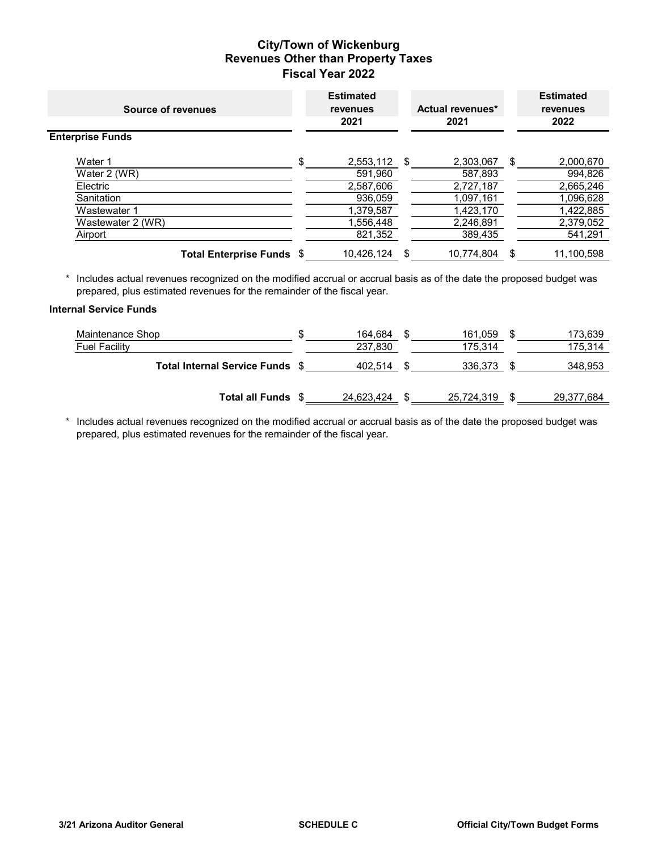# **City/Town of Wickenburg Revenues Other than Property Taxes Fiscal Year 2022**

| Source of revenues        |     | <b>Estimated</b><br><b>revenues</b><br>2021 |      | Actual revenues*<br>2021 | <b>Estimated</b><br>revenues<br>2022 |
|---------------------------|-----|---------------------------------------------|------|--------------------------|--------------------------------------|
| <b>Enterprise Funds</b>   |     |                                             |      |                          |                                      |
| Water 1                   | \$. | 2,553,112                                   | - \$ | 2,303,067                | \$<br>2,000,670                      |
| Water 2 (WR)              |     | 591,960                                     |      | 587,893                  | 994,826                              |
| Electric                  |     | 2,587,606                                   |      | 2,727,187                | 2,665,246                            |
| Sanitation                |     | 936,059                                     |      | 1,097,161                | 1,096,628                            |
| Wastewater 1              |     | 1,379,587                                   |      | 1,423,170                | 1,422,885                            |
| Wastewater 2 (WR)         |     | 1,556,448                                   |      | 2,246,891                | 2,379,052                            |
| Airport                   |     | 821,352                                     |      | 389,435                  | 541,291                              |
| Total Enterprise Funds \$ |     | 10,426,124                                  | S.   | 10,774,804               | \$<br>11,100,598                     |

 \* Includes actual revenues recognized on the modified accrual or accrual basis as of the date the proposed budget was prepared, plus estimated revenues for the remainder of the fiscal year.

#### **Internal Service Funds**

| Maintenance Shop                    | 164.684    | 161,059    | 173,639           |
|-------------------------------------|------------|------------|-------------------|
| Fuel Facility                       | 237,830    | 175,314    | 175,314           |
| <b>Total Internal Service Funds</b> | 402.514    | 336.373    | 348,953           |
| <b>Total all Funds</b>              | 24,623,424 | 25,724,319 | <u>29,377,684</u> |

 \* Includes actual revenues recognized on the modified accrual or accrual basis as of the date the proposed budget was prepared, plus estimated revenues for the remainder of the fiscal year.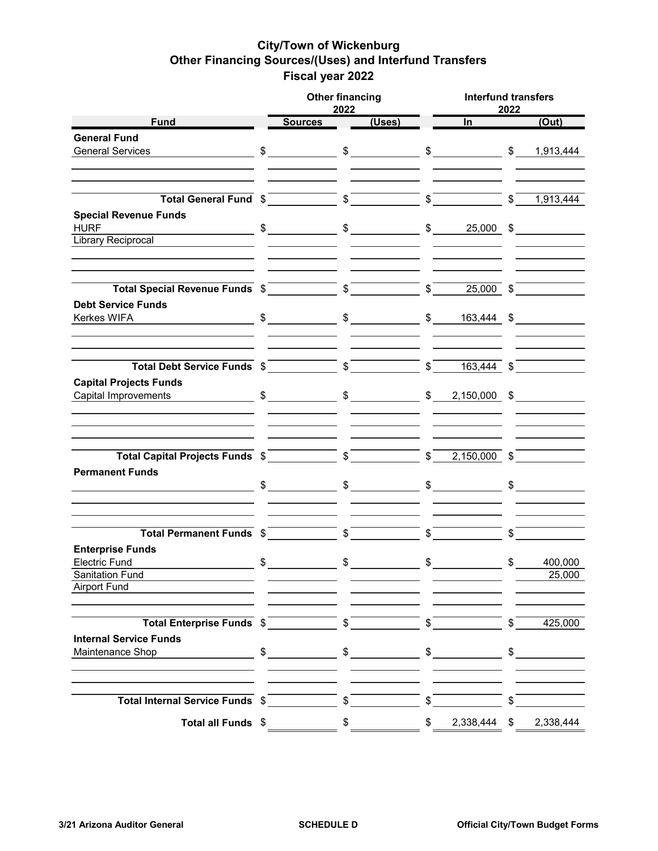# **City/Town of Wickenburg Other Financing Sources/(Uses) and Interfund Transfers Fiscal year 2022**

|                                                                                                                                                                                                                                                                                                                                                                                               |               | <b>Other financing</b><br>2022 |               |                            |               | <b>Interfund transfers</b><br>2022 |               |           |  |
|-----------------------------------------------------------------------------------------------------------------------------------------------------------------------------------------------------------------------------------------------------------------------------------------------------------------------------------------------------------------------------------------------|---------------|--------------------------------|---------------|----------------------------|---------------|------------------------------------|---------------|-----------|--|
| <b>Fund</b>                                                                                                                                                                                                                                                                                                                                                                                   |               | <b>Sources</b>                 |               | $\overline{(\text{Uses})}$ |               | $\ln$ and $\ln$                    |               | (Out)     |  |
| <b>General Fund</b>                                                                                                                                                                                                                                                                                                                                                                           |               |                                |               |                            |               |                                    |               |           |  |
| <b>General Services</b>                                                                                                                                                                                                                                                                                                                                                                       |               |                                |               |                            |               |                                    |               |           |  |
|                                                                                                                                                                                                                                                                                                                                                                                               |               |                                |               |                            |               |                                    |               |           |  |
| <b>Total General Fund</b> $\frac{2}{3}$ $\frac{2}{3}$ $\frac{2}{3}$ $\frac{2}{3}$ $\frac{2}{3}$ $\frac{2}{3}$ $\frac{1}{3}$ ,444<br><b>Special Revenue Funds</b>                                                                                                                                                                                                                              |               |                                |               |                            |               |                                    |               |           |  |
| $\frac{1}{2}$ $\frac{1}{2}$ $\frac{1}{2}$ $\frac{1}{2}$ $\frac{1}{2}$ $\frac{1}{2}$ $\frac{1}{2}$ $\frac{1}{2}$ $\frac{1}{2}$ $\frac{1}{2}$ $\frac{1}{2}$ $\frac{1}{2}$ $\frac{1}{2}$ $\frac{1}{2}$ $\frac{1}{2}$ $\frac{1}{2}$ $\frac{1}{2}$ $\frac{1}{2}$ $\frac{1}{2}$ $\frac{1}{2}$ $\frac{1}{2}$ $\frac{1}{2}$<br><b>HURF</b><br>Library Reciprocal                                      |               |                                |               |                            |               |                                    |               |           |  |
|                                                                                                                                                                                                                                                                                                                                                                                               |               |                                |               |                            |               |                                    |               |           |  |
| Total Special Revenue Funds $\sqrt[6]{\hspace{1cm}}$ $\sqrt[6]{\hspace{1cm}}$ $\sqrt[6]{\hspace{1cm}}$ $\sqrt[6]{\hspace{1cm}}$ $\sqrt[6]{\hspace{1cm}}$ $\sqrt[6]{\hspace{1cm}}$ $\sqrt[6]{\hspace{1cm}}$ $\sqrt[6]{\hspace{1cm}}$ $\sqrt[6]{\hspace{1cm}}$ $\sqrt[6]{\hspace{1cm}}$ $\sqrt[6]{\hspace{1cm}}$ $\sqrt[6]{\hspace{1cm}}$ $\sqrt[6]{\hspace{1cm}}$<br><b>Debt Service Funds</b> |               |                                |               |                            |               |                                    |               |           |  |
| $\sim$ \$ $\sim$ \$ $\sim$ \$ $\sim$ \$ $\sim$ 163,444 \$<br>Kerkes WIFA                                                                                                                                                                                                                                                                                                                      |               |                                |               |                            |               |                                    |               |           |  |
| Total Debt Service Funds $\sqrt[6]{\qquad \qquad}$ $\sqrt[6]{\qquad \qquad}$ $\sqrt[6]{\qquad \qquad}$ $\sqrt[6]{\qquad \qquad}$ $\sqrt[6]{\qquad \qquad}$ $\sqrt[6]{\qquad \qquad}$                                                                                                                                                                                                          |               |                                |               |                            |               |                                    |               |           |  |
| <b>Capital Projects Funds</b><br>Capital Improvements                                                                                                                                                                                                                                                                                                                                         |               |                                |               |                            |               |                                    |               |           |  |
|                                                                                                                                                                                                                                                                                                                                                                                               |               |                                |               |                            |               |                                    |               |           |  |
| Total Capital Projects Funds $\sqrt[6]{\hspace{2cm}}$ $\sqrt[6]{\hspace{2cm}}$ $\sqrt[6]{\hspace{2cm}}$ $\sqrt[6]{\hspace{2cm}}$ $\sqrt[6]{\hspace{2cm}}$ $\sqrt[6]{\hspace{2cm}}$ $\sqrt[6]{\hspace{2cm}}$ $\sqrt[6]{\hspace{2cm}}$ $\sqrt[6]{\hspace{2cm}}$ $\sqrt[6]{\hspace{2cm}}$ $\sqrt[6]{\hspace{2cm}}$<br><b>Permanent Funds</b>                                                     |               |                                |               |                            |               |                                    |               |           |  |
|                                                                                                                                                                                                                                                                                                                                                                                               |               |                                |               |                            |               |                                    |               |           |  |
| Total Permanent Funds \$                                                                                                                                                                                                                                                                                                                                                                      |               |                                |               |                            |               | $\overline{\text{S}}$              |               |           |  |
| <b>Enterprise Funds</b><br><b>Electric Fund</b>                                                                                                                                                                                                                                                                                                                                               | $\frac{1}{2}$ |                                | $\frac{1}{2}$ |                            | $\frac{1}{2}$ |                                    | \$            | 400,000   |  |
| Sanitation Fund<br><b>Airport Fund</b>                                                                                                                                                                                                                                                                                                                                                        |               |                                |               |                            |               |                                    |               | 25,000    |  |
| Total Enterprise Funds \$                                                                                                                                                                                                                                                                                                                                                                     |               |                                | $\frac{1}{2}$ |                            | \$            |                                    | \$            | 425,000   |  |
| <b>Internal Service Funds</b><br>Maintenance Shop                                                                                                                                                                                                                                                                                                                                             |               | $\frac{1}{\sqrt{2}}$           |               | $\frac{1}{2}$              |               | $\frac{1}{2}$                      | $\frac{1}{2}$ |           |  |
| Total Internal Service Funds \$                                                                                                                                                                                                                                                                                                                                                               |               |                                | $\frac{1}{2}$ |                            | \$            |                                    | \$            |           |  |
| Total all Funds \$                                                                                                                                                                                                                                                                                                                                                                            |               |                                | $\frac{1}{2}$ |                            | \$            | 2,338,444                          | \$            | 2,338,444 |  |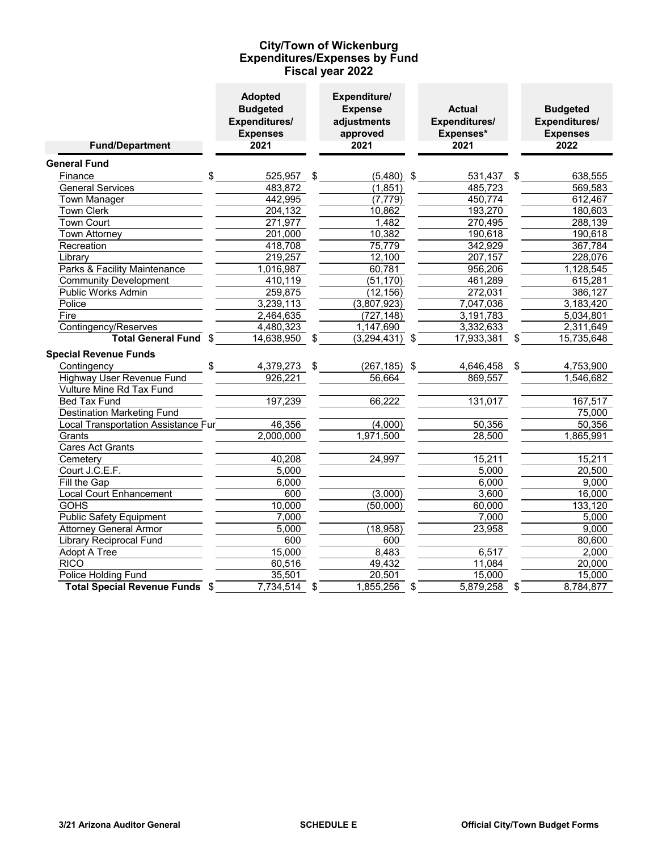### **Expenditures/Expenses by Fund Fiscal year 2022 City/Town of Wickenburg**

| <b>Fund/Department</b>                   | <b>Adopted</b><br><b>Budgeted</b><br>Expenditures/<br><b>Expenses</b><br>2021 | Expenditure/<br><b>Expense</b><br>adjustments<br>approved<br>2021 | <b>Actual</b><br>Expenditures/<br>Expenses*<br>2021 | <b>Budgeted</b><br><b>Expenditures/</b><br><b>Expenses</b><br>2022 |
|------------------------------------------|-------------------------------------------------------------------------------|-------------------------------------------------------------------|-----------------------------------------------------|--------------------------------------------------------------------|
| <b>General Fund</b>                      |                                                                               |                                                                   |                                                     |                                                                    |
| \$<br>Finance                            | 525,957 \$                                                                    | $(5,480)$ \$                                                      | 531,437                                             | \$<br>638,555                                                      |
| <b>General Services</b>                  | 483,872                                                                       | (1, 851)                                                          | 485,723                                             | 569,583                                                            |
| <b>Town Manager</b>                      | 442,995                                                                       | (7, 779)                                                          | 450,774                                             | 612,467                                                            |
| <b>Town Clerk</b>                        | 204,132                                                                       | 10,862                                                            | 193,270                                             | 180,603                                                            |
| <b>Town Court</b>                        | 271,977                                                                       | 1,482                                                             | 270,495                                             | 288,139                                                            |
| Town Attorney                            | 201,000                                                                       | 10,382                                                            | 190,618                                             | 190,618                                                            |
| Recreation                               | 418,708                                                                       | 75,779                                                            | 342,929                                             | 367,784                                                            |
| Library                                  | 219,257                                                                       | 12,100                                                            | 207,157                                             | 228,076                                                            |
| Parks & Facility Maintenance             | 1,016,987                                                                     | 60,781                                                            | 956,206                                             | 1,128,545                                                          |
| <b>Community Development</b>             | 410,119                                                                       | (51, 170)                                                         | 461,289                                             | 615,281                                                            |
| <b>Public Works Admin</b>                | 259,875                                                                       | (12, 156)                                                         | 272,031                                             | 386,127                                                            |
| Police                                   | 3,239,113                                                                     | (3,807,923)                                                       | 7,047,036                                           | 3,183,420                                                          |
| Fire                                     | 2,464,635                                                                     | (727, 148)                                                        | 3,191,783                                           | 5,034,801                                                          |
| Contingency/Reserves                     | 4,480,323                                                                     | 1,147,690                                                         | 3,332,633                                           | 2,311,649                                                          |
| Total General Fund \$                    | 14,638,950                                                                    | \$<br>$(3,294,431)$ \$                                            | 17,933,381                                          | \$<br>15,735,648                                                   |
| <b>Special Revenue Funds</b>             |                                                                               |                                                                   |                                                     |                                                                    |
| Contingency                              | 4,379,273 \$                                                                  | $(267, 185)$ \$                                                   | 4,646,458 \$                                        | 4,753,900                                                          |
| Highway User Revenue Fund                | 926,221                                                                       | 56,664                                                            | 869,557                                             | 1,546,682                                                          |
| Vulture Mine Rd Tax Fund                 |                                                                               |                                                                   |                                                     |                                                                    |
| <b>Bed Tax Fund</b>                      | 197,239                                                                       | 66,222                                                            | 131,017                                             | 167,517                                                            |
| <b>Destination Marketing Fund</b>        |                                                                               |                                                                   |                                                     | 75,000                                                             |
| Local Transportation Assistance Fur      | 46,356                                                                        | (4,000)                                                           | 50,356                                              | 50,356                                                             |
| Grants                                   | 2,000,000                                                                     | 1,971,500                                                         | 28,500                                              | 1,865,991                                                          |
| <b>Cares Act Grants</b>                  |                                                                               |                                                                   |                                                     |                                                                    |
| Cemetery                                 | 40,208                                                                        | 24,997                                                            | 15,211                                              | 15,211                                                             |
| Court J.C.E.F.                           | 5,000                                                                         |                                                                   | 5,000                                               | 20,500                                                             |
| Fill the Gap                             | 6,000                                                                         |                                                                   | 6,000                                               | 9,000                                                              |
| <b>Local Court Enhancement</b>           | 600                                                                           | (3,000)                                                           | 3,600                                               | 16,000                                                             |
| <b>GOHS</b>                              | 10,000                                                                        | (50,000)                                                          | 60,000                                              | 133,120                                                            |
| <b>Public Safety Equipment</b>           | 7,000                                                                         |                                                                   | 7,000                                               | 5,000                                                              |
| <b>Attorney General Armor</b>            | 5,000                                                                         | (18, 958)                                                         | 23,958                                              | 9,000                                                              |
| Library Reciprocal Fund                  | 600                                                                           | 600                                                               |                                                     | 80,600                                                             |
| Adopt A Tree                             | 15,000                                                                        | 8,483                                                             | 6,517                                               | 2,000                                                              |
| <b>RICO</b>                              | 60,516                                                                        | 49,432                                                            | 11,084                                              | 20,000                                                             |
| Police Holding Fund                      | 35,501                                                                        | 20,501                                                            | 15,000                                              | 15,000                                                             |
| <b>Total Special Revenue Funds</b><br>\$ | 7,734,514                                                                     | \$<br>1,855,256                                                   | \$<br>5,879,258                                     | \$<br>8,784,877                                                    |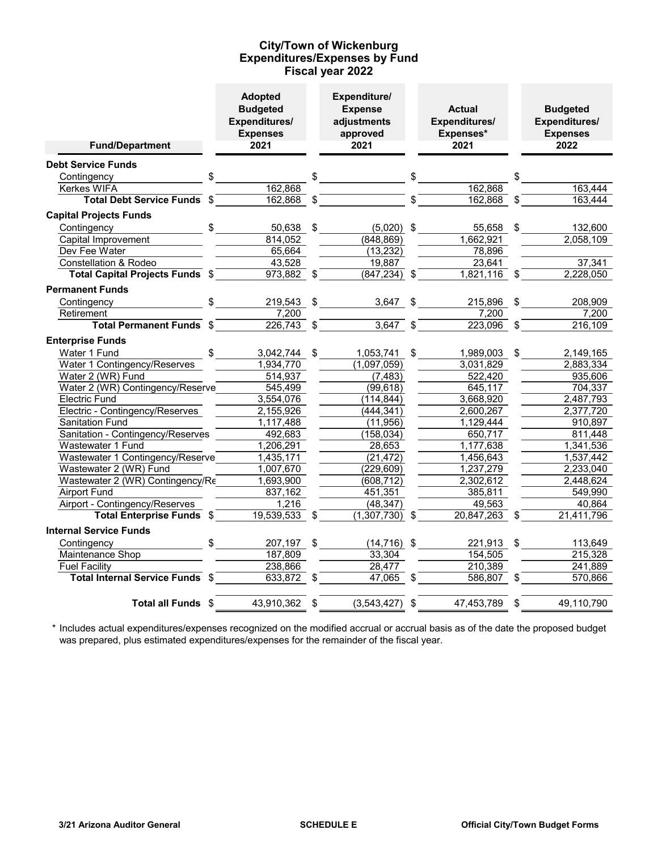### **Expenditures/Expenses by Fund Fiscal year 2022 City/Town of Wickenburg**

| <b>Fund/Department</b>                | <b>Adopted</b><br><b>Budgeted</b><br>Expenditures/<br><b>Expenses</b><br>2021 |                           | Expenditure/<br><b>Expense</b><br>adjustments<br>approved<br>2021 | <b>Actual</b><br>Expenditures/<br>Expenses*<br>2021 |               | <b>Budgeted</b><br>Expenditures/<br><b>Expenses</b><br>2022 |
|---------------------------------------|-------------------------------------------------------------------------------|---------------------------|-------------------------------------------------------------------|-----------------------------------------------------|---------------|-------------------------------------------------------------|
|                                       |                                                                               |                           |                                                                   |                                                     |               |                                                             |
| <b>Debt Service Funds</b>             |                                                                               |                           |                                                                   |                                                     |               |                                                             |
| \$<br>Contingency<br>Kerkes WIFA      | 162,868                                                                       | \$                        |                                                                   | 162,868                                             | \$            | 163,444                                                     |
| \$<br><b>Total Debt Service Funds</b> |                                                                               | \$                        |                                                                   |                                                     | \$            | 163,444                                                     |
|                                       | 162,868                                                                       |                           |                                                                   | 162,868                                             |               |                                                             |
| <b>Capital Projects Funds</b>         |                                                                               |                           |                                                                   |                                                     |               |                                                             |
| Contingency<br>\$                     | 50,638                                                                        | \$                        | $(5,020)$ \$                                                      | 55,658                                              | \$            | 132,600                                                     |
| Capital Improvement                   | 814,052                                                                       |                           | (848, 869)                                                        | 1,662,921                                           |               | 2,058,109                                                   |
| Dev Fee Water                         | 65,664                                                                        |                           | (13, 232)                                                         | 78,896                                              |               |                                                             |
| Constellation & Rodeo                 | 43,528                                                                        |                           | 19,887                                                            | $\overline{2}3,641$                                 |               | 37,341                                                      |
| Total Capital Projects Funds \$       | 973,882                                                                       | \$                        | $(847, 234)$ \$                                                   | $1,821,116$ \$                                      |               | 2,228,050                                                   |
| <b>Permanent Funds</b>                |                                                                               |                           |                                                                   |                                                     |               |                                                             |
| Contingency                           | 219,543                                                                       | \$                        | 3,647                                                             | \$<br>215,896                                       | $\sqrt[6]{2}$ | 208,909                                                     |
| Retirement                            | 7,200                                                                         |                           |                                                                   | 7,200                                               |               | 7,200                                                       |
| <b>Total Permanent Funds</b><br>\$    | 226,743                                                                       | $\boldsymbol{\mathsf{S}}$ | 3,647                                                             | \$<br>$223,096$ \$                                  |               | $\overline{216, 109}$                                       |
| <b>Enterprise Funds</b>               |                                                                               |                           |                                                                   |                                                     |               |                                                             |
| Water 1 Fund<br>\$                    | 3,042,744                                                                     | \$                        | 1,053,741                                                         | \$<br>1,989,003                                     | \$            | 2,149,165                                                   |
| Water 1 Contingency/Reserves          | 1,934,770                                                                     |                           | (1,097,059)                                                       | 3,031,829                                           |               | 2,883,334                                                   |
| Water 2 (WR) Fund                     | 514,937                                                                       |                           | (7, 483)                                                          | 522,420                                             |               | 935,606                                                     |
| Water 2 (WR) Contingency/Reserve      | 545,499                                                                       |                           | (99, 618)                                                         | 645,117                                             |               | 704,337                                                     |
| <b>Electric Fund</b>                  | 3,554,076                                                                     |                           | (114, 844)                                                        | 3,668,920                                           |               | 2,487,793                                                   |
| Electric - Contingency/Reserves       | 2,155,926                                                                     |                           | (444, 341)                                                        | 2,600,267                                           |               | 2,377,720                                                   |
| <b>Sanitation Fund</b>                | 1,117,488                                                                     |                           | (11, 956)                                                         | 1,129,444                                           |               | 910,897                                                     |
| Sanitation - Contingency/Reserves     | 492,683                                                                       |                           | (158, 034)                                                        | 650.717                                             |               | 811,448                                                     |
| Wastewater 1 Fund                     | 1,206,291                                                                     |                           | 28,653                                                            | 1,177,638                                           |               | 1,341,536                                                   |
| Wastewater 1 Contingency/Reserve      | 1,435,171                                                                     |                           | (21, 472)                                                         | 1,456,643                                           |               | 1,537,442                                                   |
| Wastewater 2 (WR) Fund                | 1,007,670                                                                     |                           | (229, 609)                                                        | 1,237,279                                           |               | 2,233,040                                                   |
| Wastewater 2 (WR) Contingency/Re      | 1,693,900                                                                     |                           | (608,712)                                                         | 2,302,612                                           |               | 2,448,624                                                   |
| <b>Airport Fund</b>                   | 837,162                                                                       |                           | 451,351                                                           | 385,811                                             |               | 549,990                                                     |
| Airport - Contingency/Reserves        | 1,216                                                                         |                           | (48, 347)                                                         | 49,563                                              |               | 40,864                                                      |
| <b>Total Enterprise Funds \$</b>      | 19,539,533                                                                    | \$                        | $(1,307,730)$ \$                                                  | $20,847,263$ \$                                     |               | 21,411,796                                                  |
| <b>Internal Service Funds</b>         |                                                                               |                           |                                                                   |                                                     |               |                                                             |
| \$<br>Contingency                     | 207,197                                                                       | \$                        | $(14, 716)$ \$                                                    | 221,913                                             | \$            | 113,649                                                     |
| Maintenance Shop                      | 187,809                                                                       |                           | 33,304                                                            | 154,505                                             |               | 215,328                                                     |
| <b>Fuel Facility</b>                  | 238,866                                                                       |                           | 28,477                                                            | 210,389                                             |               | 241,889                                                     |
| Total Internal Service Funds \$       | $633,872$ \$                                                                  |                           | $47,065$ \$                                                       | 586,807 \$                                          |               | 570,866                                                     |
| Total all Funds \$                    | 43,910,362                                                                    | \$                        | (3,543,427)                                                       | \$<br>47,453,789                                    | \$            | 49,110,790                                                  |

\* Includes actual expenditures/expenses recognized on the modified accrual or accrual basis as of the date the proposed budget was prepared, plus estimated expenditures/expenses for the remainder of the fiscal year.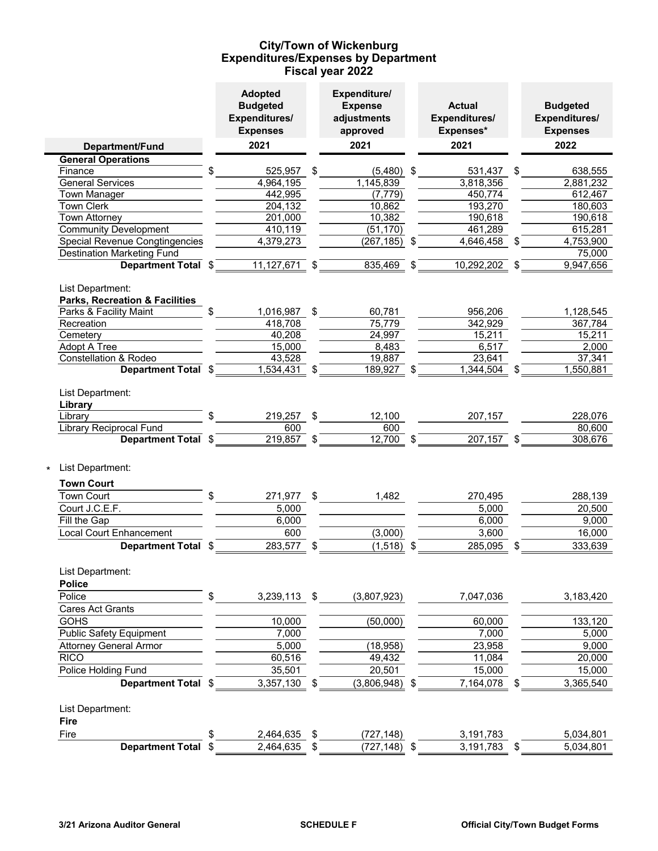### **Expenditures/Expenses by Department Fiscal year 2022 City/Town of Wickenburg**

|                                                               | <b>Adopted</b><br><b>Budgeted</b><br>Expenditures/<br><b>Expenses</b> |               | Expenditure/<br><b>Expense</b><br>adjustments<br>approved | <b>Actual</b><br>Expenditures/<br>Expenses* |               | <b>Budgeted</b><br>Expenditures/<br><b>Expenses</b> |
|---------------------------------------------------------------|-----------------------------------------------------------------------|---------------|-----------------------------------------------------------|---------------------------------------------|---------------|-----------------------------------------------------|
| Department/Fund                                               | 2021                                                                  |               | 2021                                                      | 2021                                        |               | 2022                                                |
| <b>General Operations</b>                                     |                                                                       |               |                                                           |                                             |               |                                                     |
| \$<br>Finance                                                 | 525,957                                                               | $\frac{1}{2}$ | $(5,480)$ \$                                              | 531,437 \$                                  |               | 638,555                                             |
| <b>General Services</b>                                       | 4,964,195                                                             |               | 1,145,839                                                 | 3,818,356                                   |               | 2,881,232                                           |
| Town Manager                                                  | 442,995                                                               |               | (7, 779)                                                  | 450,774                                     |               | 612,467                                             |
| Town Clerk                                                    | $\overline{20}$ 4,132                                                 |               | 10,862                                                    | 193,270                                     |               | 180,603                                             |
| Town Attorney                                                 | 201,000                                                               |               | 10,382                                                    | 190,618                                     |               | 190,618                                             |
| <b>Community Development</b>                                  | 410,119                                                               |               | (51, 170)                                                 | 461,289                                     |               | 615,281                                             |
| <b>Special Revenue Congtingencies</b>                         | 4,379,273                                                             |               | $(267, 185)$ \$                                           | 4,646,458 \$                                |               | $\sqrt{4}$ , 753, 900                               |
| <b>Destination Marketing Fund</b>                             |                                                                       |               |                                                           |                                             |               | 75,000                                              |
| Department Total \$                                           | $11,127,671$ \$                                                       |               | $835,469$ \$                                              | $\overline{10,292,202}$ \$                  |               | 9,947,656                                           |
| List Department:<br><b>Parks, Recreation &amp; Facilities</b> |                                                                       |               |                                                           |                                             |               |                                                     |
| Parks & Facility Maint<br>$\frac{2}{3}$                       | 1,016,987                                                             | \$            | 60,781                                                    | 956,206                                     |               | 1,128,545                                           |
| Recreation                                                    | 418,708                                                               |               | 75,779                                                    | 342,929                                     |               | 367,784                                             |
| Cemetery                                                      | 40,208                                                                |               | 24,997                                                    | 15,211                                      |               | 15,211                                              |
| Adopt A Tree                                                  | 15,000                                                                |               | 8,483                                                     | 6,517                                       |               | 2,000                                               |
| Constellation & Rodeo                                         | 43,528                                                                |               | 19,887                                                    | 23,641                                      |               | 37,341                                              |
| Department Total \$                                           | $1,534,431$ \$                                                        |               | 189,927 \$                                                | 1,344,504                                   | $\sqrt[6]{3}$ | 1,550,881                                           |
| List Department:<br>Library                                   |                                                                       |               |                                                           |                                             |               |                                                     |
| Library                                                       | $\frac{1}{2}$<br>219,257 \$                                           |               | 12,100                                                    | 207,157                                     |               | 228,076                                             |
| Library Reciprocal Fund                                       | 600                                                                   |               | 600                                                       |                                             |               | 80,600                                              |
| Department Total \$                                           | $\overline{219,857}$ \$                                               |               | $\overline{12,700}$ \$                                    | $\overline{207,157}$ \$                     |               | 308,676                                             |
| List Department:                                              |                                                                       |               |                                                           |                                             |               |                                                     |
| <b>Town Court</b>                                             |                                                                       |               |                                                           |                                             |               |                                                     |
| Town Court<br>\$                                              | 271,977                                                               | \$            | 1,482                                                     | 270,495                                     |               | 288,139                                             |
| Court J.C.E.F.                                                | 5,000                                                                 |               |                                                           | 5,000                                       |               | 20,500                                              |
| Fill the Gap                                                  | 6,000                                                                 |               |                                                           | 6,000                                       |               | 9,000                                               |
| Local Court Enhancement                                       | 600                                                                   |               | (3,000)                                                   | 3,600                                       |               | 16,000                                              |
| Department Total \$                                           | 283,577                                                               | \$            | $(1,518)$ \$                                              | 285,095                                     |               | 333,639                                             |
| List Department:                                              |                                                                       |               |                                                           |                                             |               |                                                     |
| <b>Police</b>                                                 |                                                                       |               |                                                           |                                             |               |                                                     |
| Police<br>\$                                                  | 3,239,113 \$                                                          |               | (3,807,923)                                               | 7,047,036                                   |               | 3,183,420                                           |
| <b>Cares Act Grants</b>                                       |                                                                       |               |                                                           |                                             |               |                                                     |
| <b>GOHS</b>                                                   | 10,000                                                                |               | (50,000)                                                  | 60,000                                      |               | 133,120                                             |
| <b>Public Safety Equipment</b>                                | 7,000                                                                 |               |                                                           | 7,000                                       |               | 5,000                                               |
| <b>Attorney General Armor</b>                                 | 5,000                                                                 |               | (18, 958)                                                 | 23,958                                      |               | 9,000                                               |
| <b>RICO</b>                                                   | 60,516                                                                |               | 49,432                                                    | 11,084                                      |               | 20,000                                              |
| Police Holding Fund                                           | 35,501                                                                |               | 20,501                                                    | 15,000                                      |               | 15,000                                              |
| Department Total \$                                           | 3,357,130                                                             | \$            | (3,806,948)                                               | \$<br>7,164,078                             | \$            | 3,365,540                                           |
| List Department:                                              |                                                                       |               |                                                           |                                             |               |                                                     |
| Fire                                                          |                                                                       |               |                                                           |                                             |               |                                                     |
| Fire<br>\$                                                    | 2,464,635                                                             | \$            | (727, 148)                                                | 3,191,783                                   |               | 5,034,801                                           |
| Department Total \$                                           | 2,464,635                                                             |               | $(727, 148)$ \$                                           |                                             |               | 5,034,801                                           |
|                                                               |                                                                       | S             |                                                           | 3,191,783                                   | \$            |                                                     |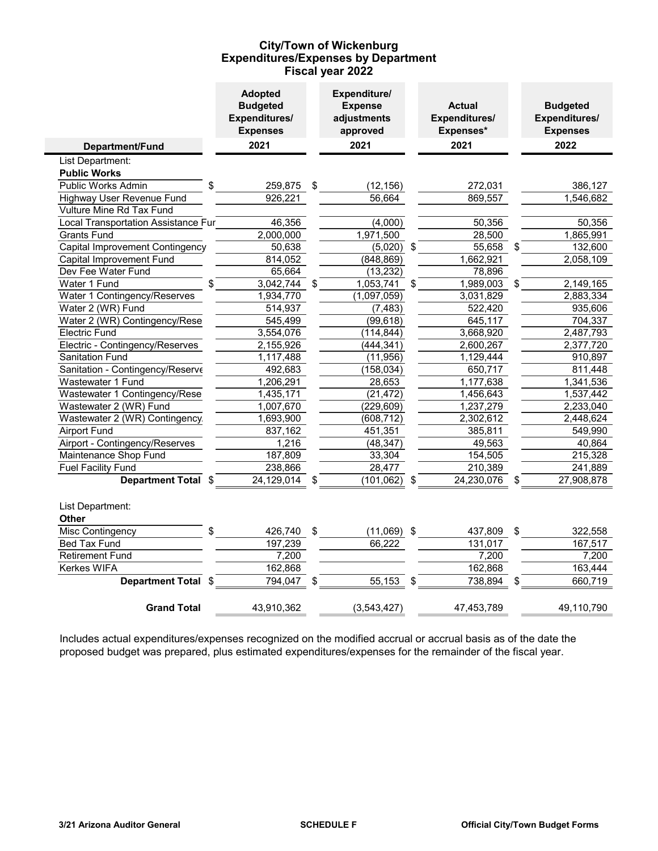### **Expenditures/Expenses by Department Fiscal year 2022 City/Town of Wickenburg**

|                                     | <b>Adopted</b><br><b>Budgeted</b><br>Expenditures/<br><b>Expenses</b> | Expenditure/<br><b>Expense</b><br>adjustments<br>approved |                         | <b>Actual</b><br>Expenditures/<br>Expenses* | <b>Budgeted</b><br>Expenditures/<br><b>Expenses</b> |  |  |
|-------------------------------------|-----------------------------------------------------------------------|-----------------------------------------------------------|-------------------------|---------------------------------------------|-----------------------------------------------------|--|--|
| Department/Fund                     | 2021                                                                  | 2021                                                      |                         | 2021                                        | 2022                                                |  |  |
| List Department:                    |                                                                       |                                                           |                         |                                             |                                                     |  |  |
| <b>Public Works</b>                 |                                                                       |                                                           |                         |                                             |                                                     |  |  |
| Public Works Admin                  | \$<br>259,875                                                         | \$<br>(12, 156)                                           |                         | 272,031                                     | 386,127                                             |  |  |
| Highway User Revenue Fund           | 926,221                                                               | 56,664                                                    |                         | 869,557                                     | 1,546,682                                           |  |  |
| Vulture Mine Rd Tax Fund            |                                                                       |                                                           |                         |                                             |                                                     |  |  |
| Local Transportation Assistance Fur | 46,356                                                                | (4,000)                                                   |                         | 50,356                                      | 50,356                                              |  |  |
| <b>Grants Fund</b>                  | 2,000,000                                                             | 1,971,500                                                 |                         | 28,500                                      | 1,865,991                                           |  |  |
| Capital Improvement Contingency     | 50,638                                                                | (5,020)                                                   | $\sqrt[6]{\frac{1}{2}}$ | 55,658                                      | \$<br>132,600                                       |  |  |
| Capital Improvement Fund            | 814,052                                                               | (848, 869)                                                |                         | 1,662,921                                   | 2,058,109                                           |  |  |
| Dev Fee Water Fund                  | 65,664                                                                | (13, 232)                                                 |                         | 78,896                                      |                                                     |  |  |
| Water 1 Fund                        | \$<br>3,042,744                                                       | \$<br>1,053,741                                           | \$                      | 1,989,003                                   | \$<br>2,149,165                                     |  |  |
| Water 1 Contingency/Reserves        | 1,934,770                                                             | (1,097,059)                                               |                         | 3,031,829                                   | 2,883,334                                           |  |  |
| Water 2 (WR) Fund                   | 514,937                                                               | (7, 483)                                                  |                         | 522,420                                     | 935,606                                             |  |  |
| Water 2 (WR) Contingency/Rese       | 545,499                                                               | (99, 618)                                                 |                         | 645,117                                     | 704,337                                             |  |  |
| <b>Electric Fund</b>                | 3,554,076                                                             | (114, 844)                                                |                         | 3,668,920                                   | 2,487,793                                           |  |  |
| Electric - Contingency/Reserves     | 2,155,926                                                             | (444, 341)                                                |                         | 2,600,267                                   | 2,377,720                                           |  |  |
| <b>Sanitation Fund</b>              | 1,117,488                                                             | (11, 956)                                                 |                         | 1,129,444                                   | 910,897                                             |  |  |
| Sanitation - Contingency/Reserve    | 492,683                                                               | (158, 034)                                                |                         | 650,717                                     | 811,448                                             |  |  |
| Wastewater 1 Fund                   | 1,206,291                                                             | 28,653                                                    |                         | 1,177,638                                   | 1,341,536                                           |  |  |
| Wastewater 1 Contingency/Rese       | 1,435,171                                                             | (21, 472)                                                 |                         | 1,456,643                                   | 1,537,442                                           |  |  |
| Wastewater 2 (WR) Fund              | 1,007,670                                                             | (229, 609)                                                |                         | 1,237,279                                   | 2,233,040                                           |  |  |
| Wastewater 2 (WR) Contingency       | 1,693,900                                                             | (608, 712)                                                |                         | 2,302,612                                   | 2,448,624                                           |  |  |
| <b>Airport Fund</b>                 | 837,162                                                               | 451,351                                                   |                         | 385,811                                     | 549,990                                             |  |  |
| Airport - Contingency/Reserves      | 1,216                                                                 | (48, 347)                                                 |                         | 49,563                                      | 40,864                                              |  |  |
| Maintenance Shop Fund               | 187,809                                                               | 33,304                                                    |                         | 154,505                                     | 215,328                                             |  |  |
| <b>Fuel Facility Fund</b>           | 238,866                                                               | 28,477                                                    |                         | 210,389                                     | 241,889                                             |  |  |
| <b>Department Total</b>             | \$<br>24,129,014                                                      | (101, 062)                                                |                         | 24,230,076                                  | \$<br>27,908,878                                    |  |  |
| List Department:                    |                                                                       |                                                           |                         |                                             |                                                     |  |  |
| <b>Other</b>                        |                                                                       |                                                           |                         |                                             |                                                     |  |  |
| Misc Contingency                    | \$<br>426,740                                                         | \$<br>$(11,069)$ \$                                       |                         | 437,809                                     | \$<br>322,558                                       |  |  |
| <b>Bed Tax Fund</b>                 | 197,239                                                               | 66,222                                                    |                         | 131,017                                     | 167,517                                             |  |  |
| <b>Retirement Fund</b>              | 7,200                                                                 |                                                           |                         | 7,200                                       | 7,200                                               |  |  |
| Kerkes WIFA                         | 162,868                                                               |                                                           |                         | 162,868                                     | 163,444                                             |  |  |
| Department Total \$                 | 794,047                                                               | \$<br>55,153                                              | \$                      | 738,894                                     | \$<br>660,719                                       |  |  |
| <b>Grand Total</b>                  | 43,910,362                                                            | (3,543,427)                                               |                         | 47,453,789                                  | 49,110,790                                          |  |  |

Includes actual expenditures/expenses recognized on the modified accrual or accrual basis as of the date the proposed budget was prepared, plus estimated expenditures/expenses for the remainder of the fiscal year.